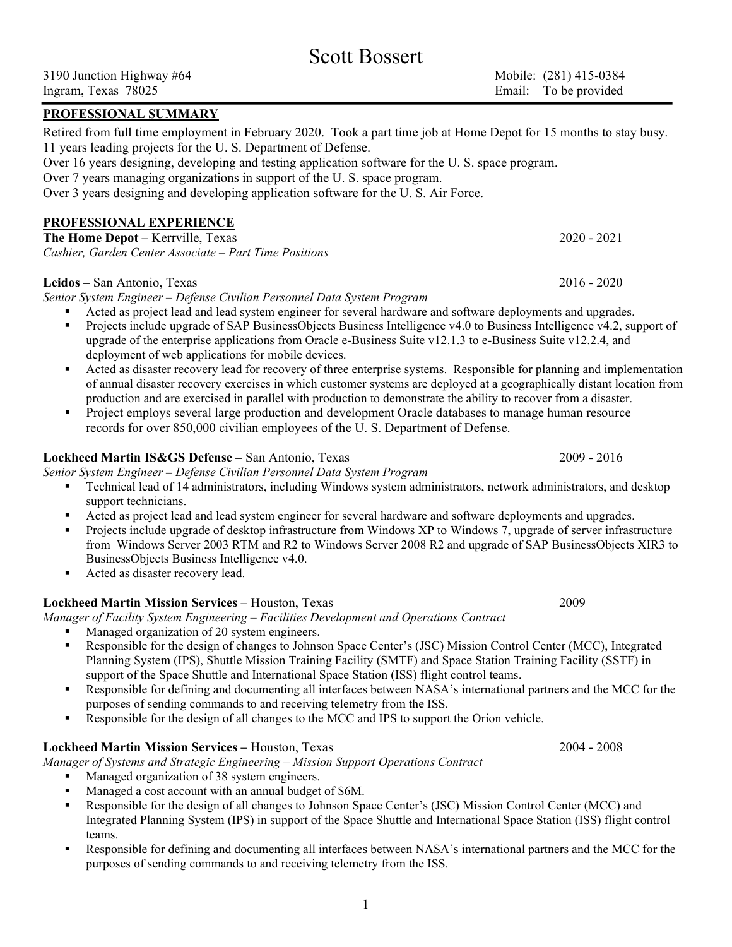#### PROFESSIONAL SUMMARY

Retired from full time employment in February 2020. Took a part time job at Home Depot for 15 months to stay busy. 11 years leading projects for the U. S. Department of Defense. Over 16 years designing, developing and testing application software for the U. S. space program. Over 7 years managing organizations in support of the U. S. space program. Over 3 years designing and developing application software for the U. S. Air Force.

PROFESSIONAL EXPERIENCE

The Home Depot – Kerrville, Texas 2020 - 2021 Cashier, Garden Center Associate – Part Time Positions

### Leidos – San Antonio, Texas 2016 - 2020

Senior System Engineer – Defense Civilian Personnel Data System Program

- Acted as project lead and lead system engineer for several hardware and software deployments and upgrades.
- Projects include upgrade of SAP BusinessObjects Business Intelligence v4.0 to Business Intelligence v4.2, support of upgrade of the enterprise applications from Oracle e-Business Suite v12.1.3 to e-Business Suite v12.2.4, and deployment of web applications for mobile devices.
- Acted as disaster recovery lead for recovery of three enterprise systems. Responsible for planning and implementation of annual disaster recovery exercises in which customer systems are deployed at a geographically distant location from production and are exercised in parallel with production to demonstrate the ability to recover from a disaster.
- **Project employs several large production and development Oracle databases to manage human resource** records for over 850,000 civilian employees of the U. S. Department of Defense.

### Lockheed Martin IS&GS Defense – San Antonio, Texas 2009 - 2016

Senior System Engineer – Defense Civilian Personnel Data System Program

- Technical lead of 14 administrators, including Windows system administrators, network administrators, and desktop support technicians.
- Acted as project lead and lead system engineer for several hardware and software deployments and upgrades.
- Projects include upgrade of desktop infrastructure from Windows XP to Windows 7, upgrade of server infrastructure from Windows Server 2003 RTM and R2 to Windows Server 2008 R2 and upgrade of SAP BusinessObjects XIR3 to BusinessObjects Business Intelligence v4.0.
- Acted as disaster recovery lead.

# Lockheed Martin Mission Services – Houston, Texas 2009

Manager of Facility System Engineering – Facilities Development and Operations Contract

- Managed organization of 20 system engineers.
- Responsible for the design of changes to Johnson Space Center's (JSC) Mission Control Center (MCC), Integrated Planning System (IPS), Shuttle Mission Training Facility (SMTF) and Space Station Training Facility (SSTF) in support of the Space Shuttle and International Space Station (ISS) flight control teams.
- Responsible for defining and documenting all interfaces between NASA's international partners and the MCC for the purposes of sending commands to and receiving telemetry from the ISS.
- Responsible for the design of all changes to the MCC and IPS to support the Orion vehicle.

## Lockheed Martin Mission Services – Houston, Texas 2004 - 2008

Manager of Systems and Strategic Engineering – Mission Support Operations Contract

- Managed organization of 38 system engineers.
- Managed a cost account with an annual budget of \$6M.
- Responsible for the design of all changes to Johnson Space Center's (JSC) Mission Control Center (MCC) and Integrated Planning System (IPS) in support of the Space Shuttle and International Space Station (ISS) flight control teams.
- Responsible for defining and documenting all interfaces between NASA's international partners and the MCC for the purposes of sending commands to and receiving telemetry from the ISS.

Scott Bossert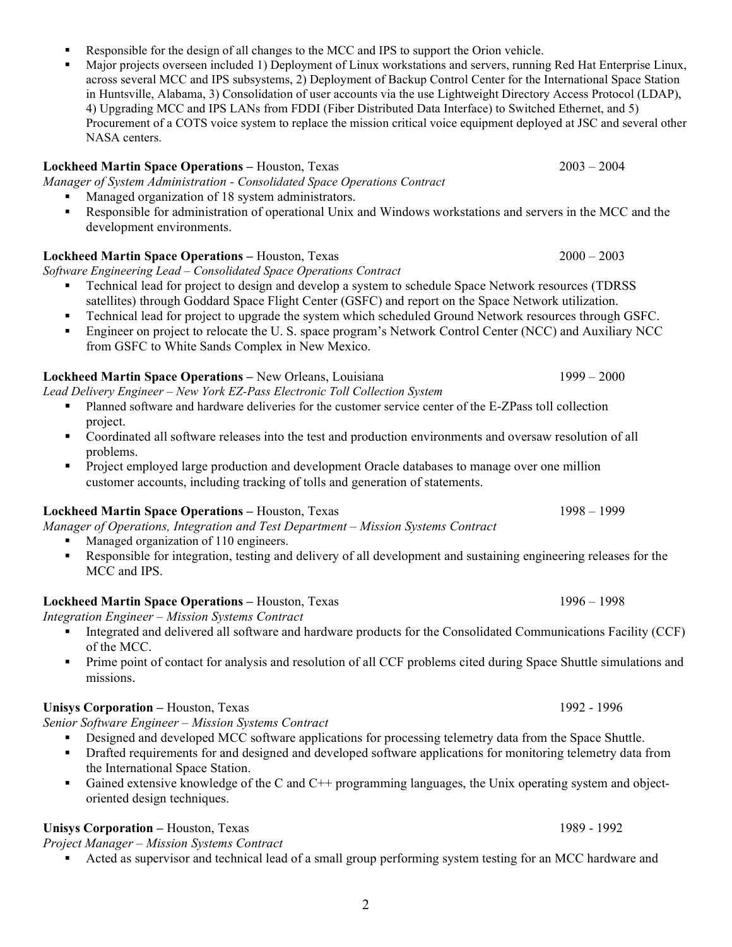- Responsible for the design of all changes to the MCC and IPS to support the Orion vehicle.
- Major projects overseen included 1) Deployment of Linux workstations and servers, running Red Hat Enterprise Linux, across several MCC and IPS subsystems, 2) Deployment of Backup Control Center for the International Space Station in Huntsville, Alabama, 3) Consolidation of user accounts via the use Lightweight Directory Access Protocol (LDAP), 4) Upgrading MCC and IPS LANs from FDDI (Fiber Distributed Data Interface) to Switched Ethernet, and 5) Procurement of a COTS voice system to replace the mission critical voice equipment deployed at JSC and several other NASA centers.

#### Lockheed Martin Space Operations – Houston, Texas 2003 – 2004

Manager of System Administration - Consolidated Space Operations Contract

- Managed organization of 18 system administrators.
- Responsible for administration of operational Unix and Windows workstations and servers in the MCC and the development environments.

## Lockheed Martin Space Operations – Houston, Texas 2000 – 2003

Software Engineering Lead – Consolidated Space Operations Contract

- Technical lead for project to design and develop a system to schedule Space Network resources (TDRSS satellites) through Goddard Space Flight Center (GSFC) and report on the Space Network utilization.
- Technical lead for project to upgrade the system which scheduled Ground Network resources through GSFC.
- Engineer on project to relocate the U. S. space program's Network Control Center (NCC) and Auxiliary NCC from GSFC to White Sands Complex in New Mexico.

### Lockheed Martin Space Operations – New Orleans, Louisiana 1999 – 2000

Lead Delivery Engineer – New York EZ-Pass Electronic Toll Collection System

- Planned software and hardware deliveries for the customer service center of the E-ZPass toll collection project.
- Coordinated all software releases into the test and production environments and oversaw resolution of all problems.
- **Project employed large production and development Oracle databases to manage over one million** customer accounts, including tracking of tolls and generation of statements.

## Lockheed Martin Space Operations – Houston, Texas 1998 – 1999

Manager of Operations, Integration and Test Department – Mission Systems Contract

- Managed organization of 110 engineers.
- Responsible for integration, testing and delivery of all development and sustaining engineering releases for the MCC and IPS.

## Lockheed Martin Space Operations – Houston, Texas 1996 – 1998

Integration Engineer – Mission Systems Contract

- Integrated and delivered all software and hardware products for the Consolidated Communications Facility (CCF) of the MCC.
- **Prime point of contact for analysis and resolution of all CCF problems cited during Space Shuttle simulations and** missions.

## Unisys Corporation – Houston, Texas 1992 - 1996

Senior Software Engineer – Mission Systems Contract

- Designed and developed MCC software applications for processing telemetry data from the Space Shuttle.
- **•** Drafted requirements for and designed and developed software applications for monitoring telemetry data from the International Space Station.
- Gained extensive knowledge of the C and C<sup>++</sup> programming languages, the Unix operating system and objectoriented design techniques.

# Unisys Corporation – Houston, Texas 1989 - 1992

Project Manager – Mission Systems Contract

Acted as supervisor and technical lead of a small group performing system testing for an MCC hardware and